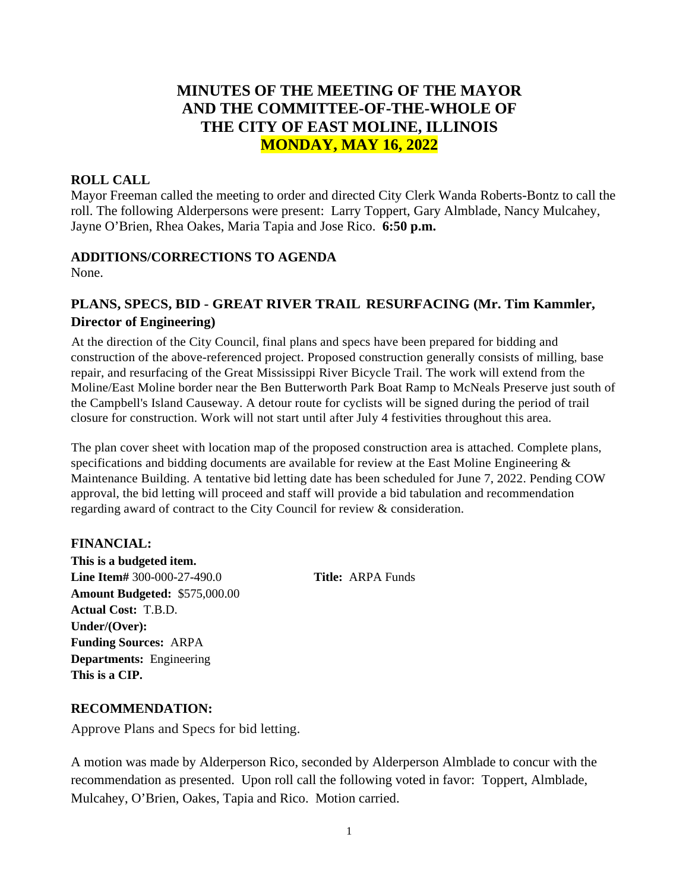# **MINUTES OF THE MEETING OF THE MAYOR AND THE COMMITTEE-OF-THE-WHOLE OF THE CITY OF EAST MOLINE, ILLINOIS MONDAY, MAY 16, 2022**

### **ROLL CALL**

Mayor Freeman called the meeting to order and directed City Clerk Wanda Roberts-Bontz to call the roll. The following Alderpersons were present: Larry Toppert, Gary Almblade, Nancy Mulcahey, Jayne O'Brien, Rhea Oakes, Maria Tapia and Jose Rico. **6:50 p.m.**

### **ADDITIONS/CORRECTIONS TO AGENDA**

None.

# **PLANS, SPECS, BID - GREAT RIVER TRAIL RESURFACING (Mr. Tim Kammler, Director of Engineering)**

At the direction of the City Council, final plans and specs have been prepared for bidding and construction of the above-referenced project. Proposed construction generally consists of milling, base repair, and resurfacing of the Great Mississippi River Bicycle Trail. The work will extend from the Moline/East Moline border near the Ben Butterworth Park Boat Ramp to McNeals Preserve just south of the Campbell's Island Causeway. A detour route for cyclists will be signed during the period of trail closure for construction. Work will not start until after July 4 festivities throughout this area.

The plan cover sheet with location map of the proposed construction area is attached. Complete plans, specifications and bidding documents are available for review at the East Moline Engineering & Maintenance Building. A tentative bid letting date has been scheduled for June 7, 2022. Pending COW approval, the bid letting will proceed and staff will provide a bid tabulation and recommendation regarding award of contract to the City Council for review & consideration.

# **FINANCIAL:**

**This is a budgeted item. Line Item#** 300-000-27-490.0 **Title:** ARPA Funds **Amount Budgeted:** \$575,000.00 **Actual Cost:** T.B.D. **Under/(Over): Funding Sources:** ARPA **Departments:** Engineering **This is a CIP.**

### **RECOMMENDATION:**

Approve Plans and Specs for bid letting.

A motion was made by Alderperson Rico, seconded by Alderperson Almblade to concur with the recommendation as presented. Upon roll call the following voted in favor: Toppert, Almblade, Mulcahey, O'Brien, Oakes, Tapia and Rico. Motion carried.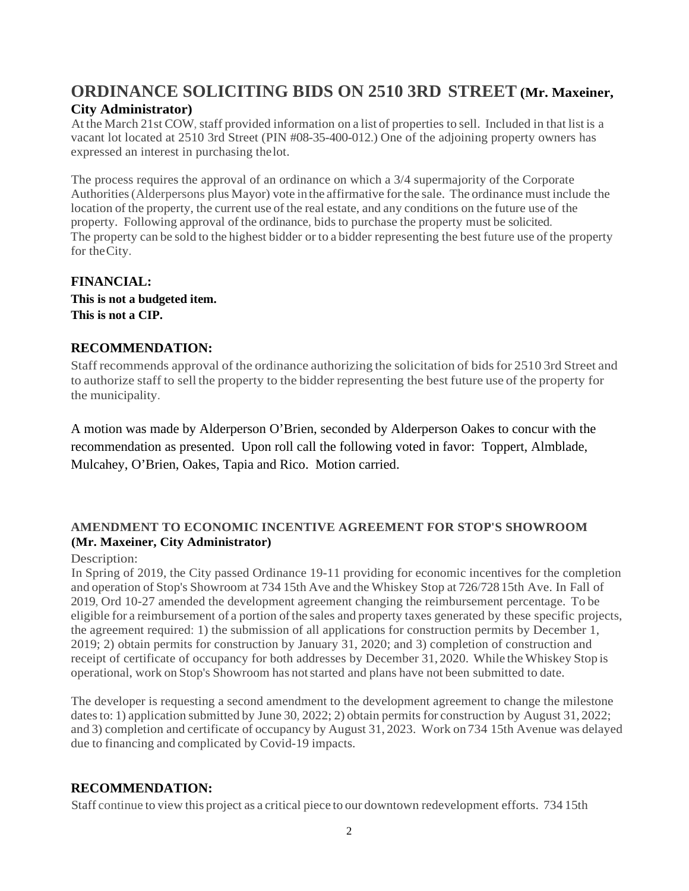# **ORDINANCE SOLICITING BIDS ON 2510 3RD STREET (Mr. Maxeiner, City Administrator)**

At the March 21st COW, staff provided information on a list of properties to sell. Included in that list is a vacant lot located at 2510 3rd Street (PIN #08-35-400-012.) One of the adjoining property owners has expressed an interest in purchasing thelot.

The process requires the approval of an ordinance on which a 3/4 supermajority of the Corporate Authorities(Alderpersons plus Mayor) vote in the affirmative forthe sale. The ordinance must include the location of the property, the current use of the real estate, and any conditions on the future use of the property. Following approval of the ordinance, bidsto purchase the property must be solicited. The property can be sold to the highest bidder or to a bidder representing the best future use of the property for theCity.

**FINANCIAL: This is not a budgeted item. This is not a CIP.**

### **RECOMMENDATION:**

Staff recommends approval of the ordinance authorizing the solicitation of bidsfor 2510 3rd Street and to authorize staff to sell the property to the bidder representing the best future use of the property for the municipality.

A motion was made by Alderperson O'Brien, seconded by Alderperson Oakes to concur with the recommendation as presented. Upon roll call the following voted in favor: Toppert, Almblade, Mulcahey, O'Brien, Oakes, Tapia and Rico. Motion carried.

### **AMENDMENT TO ECONOMIC INCENTIVE AGREEMENT FOR STOP'S SHOWROOM (Mr. Maxeiner, City Administrator)**

#### Description:

In Spring of 2019, the City passed Ordinance 19-11 providing for economic incentives for the completion and operation of Stop's Showroom at 734 15th Ave and the Whiskey Stop at 726/728 15th Ave. In Fall of 2019, Ord 10-27 amended the development agreement changing the reimbursement percentage. To be eligible for a reimbursement of a portion ofthe sales and property taxes generated by these specific projects, the agreement required: 1) the submission of all applications for construction permits by December 1, 2019; 2) obtain permits for construction by January 31, 2020; and 3) completion of construction and receipt of certificate of occupancy for both addresses by December 31, 2020. While the Whiskey Stop is operational, work on Stop's Showroom has notstarted and plans have not been submitted to date.

The developer is requesting a second amendment to the development agreement to change the milestone dates to: 1) application submitted by June 30, 2022; 2) obtain permits for construction by August 31, 2022; and 3) completion and certificate of occupancy by August 31, 2023. Work on 734 15th Avenue was delayed due to financing and complicated by Covid-19 impacts.

# **RECOMMENDATION:**

Staff continue to view this project as a critical piece to our downtown redevelopment efforts. 734 15th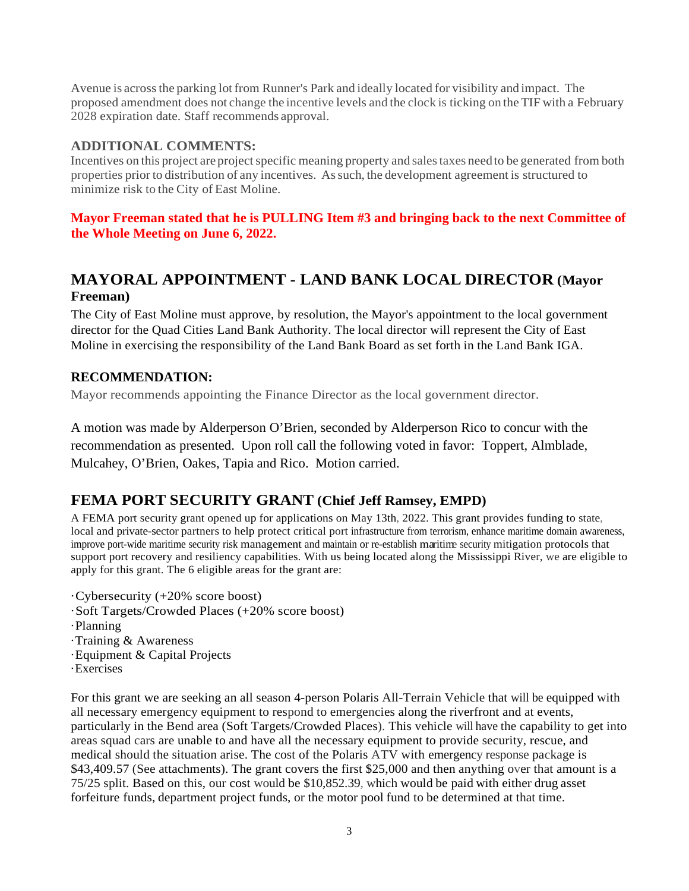Avenue is acrossthe parking lotfrom Runner's Park and ideally located for visibility and impact. The proposed amendment does not change the incentive levels and the clock is ticking on the TIF with a February 2028 expiration date. Staff recommends approval.

### **ADDITIONAL COMMENTS:**

Incentives on this project are project specific meaning property and sales taxes need to be generated from both properties prior to distribution of any incentives. Assuch, the development agreement is structured to minimize risk to the City of East Moline.

### **Mayor Freeman stated that he is PULLING Item #3 and bringing back to the next Committee of the Whole Meeting on June 6, 2022.**

# **MAYORAL APPOINTMENT - LAND BANK LOCAL DIRECTOR (Mayor Freeman)**

The City of East Moline must approve, by resolution, the Mayor's appointment to the local government director for the Quad Cities Land Bank Authority. The local director will represent the City of East Moline in exercising the responsibility of the Land Bank Board as set forth in the Land Bank IGA.

# **RECOMMENDATION:**

Mayor recommends appointing the Finance Director as the local government director.

A motion was made by Alderperson O'Brien, seconded by Alderperson Rico to concur with the recommendation as presented. Upon roll call the following voted in favor: Toppert, Almblade, Mulcahey, O'Brien, Oakes, Tapia and Rico. Motion carried.

# **FEMA PORT SECURITY GRANT (Chief Jeff Ramsey, EMPD)**

A FEMA port security grant opened up for applications on May 13th, 2022. This grant provides funding to state, local and private-sector partners to help protect critical port infrastructure from terrorism, enhance maritime domain awareness, improve port-wide maritime security risk management and maintain or re-establish maritime security mitigation protocols that support port recovery and resiliency capabilities. With us being located along the Mississippi River, we are eligible to apply for this grant. The 6 eligible areas for the grant are:

·Cybersecurity (+20% score boost) ·Soft Targets/Crowded Places (+20% score boost) ·Planning ·Training & Awareness ·Equipment & Capital Projects ·Exercises

For this grant we are seeking an all season 4-person Polaris All-Terrain Vehicle that will be equipped with all necessary emergency equipment to respond to emergencies along the riverfront and at events, particularly in the Bend area (Soft Targets/Crowded Places). This vehicle will have the capability to get into areas squad cars are unable to and have all the necessary equipment to provide security, rescue, and medical should the situation arise. The cost of the Polaris ATV with emergency response package is \$43,409.57 (See attachments). The grant covers the first \$25,000 and then anything over that amount is a 75/25 split. Based on this, our cost would be \$10,852.39, which would be paid with either drug asset forfeiture funds, department project funds, or the motor pool fund to be determined at that time.